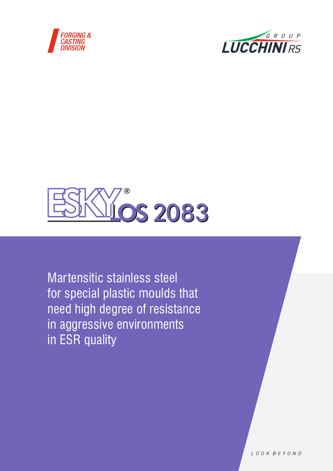





Martensitic stainless steel for special plastic moulds that need high degree of resistance in aggressive environments in ESR quality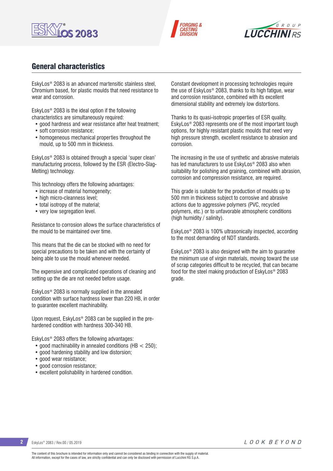





# General characteristics

EskyLos® 2083 is an advanced martensitic stainless steel, Chromium based, for plastic moulds that need resistance to wear and corrosion.

EskyLos® 2083 is the ideal option if the following characteristics are simultaneously required:

- good hardness and wear resistance after heat treatment;
- soft corrosion resistance;
- homogeneous mechanical properties throughout the mould, up to 500 mm in thickness.

EskyLos® 2083 is obtained through a special 'super clean' manufacturing process, followed by the ESR (Electro-Slag-Melting) technology.

This technology offers the following advantages:

- increase of material homogeneity;
- high micro-cleanness level:
- total isotropy of the material;
- very low segregation level.

Resistance to corrosion allows the surface characteristics of the mould to be maintained over time.

This means that the die can be stocked with no need for special precautions to be taken and with the certainty of being able to use the mould whenever needed.

The expensive and complicated operations of cleaning and setting up the die are not needed before usage.

EskyLos® 2083 is normally supplied in the annealed condition with surface hardness lower than 220 HB, in order to guarantee excellent machinability.

Upon request, EskyLos® 2083 can be supplied in the prehardened condition with hardness 300-340 HB.

EskyLos® 2083 offers the following advantages:

- good machinability in annealed conditions (HB < 250);
- good hardening stability and low distorsion;
- good wear resistance;
- good corrosion resistance:
- excellent polishability in hardened condition.

Constant development in processing technologies require the use of EskyLos® 2083, thanks to its high fatigue, wear and corrosion resistance, combined with its excellent dimensional stability and extremely low distortions.

Thanks to its quasi-isotropic properties of ESR quality, EskyLos® 2083 represents one of the most important tough options, for highly resistant plastic moulds that need very high pressure strength, excellent resistance to abrasion and corrosion.

The increasing in the use of synthetic and abrasive materials has led manufacturers to use EskyLos® 2083 also when suitability for polishing and graining, combined with abrasion, corrosion and compression resistance, are required.

This grade is suitable for the production of moulds up to 500 mm in thickness subject to corrosive and abrasive actions due to aggressive polymers (PVC, recycled polymers, etc.) or to unfavorable atmospheric conditions (high humidity / salinity).

EskyLos® 2083 is 100% ultrasonically inspected, according to the most demanding of NDT standards.

EskyLos® 2083 is also designed with the aim to guarantee the minimum use of virgin materials, moving toward the use of scrap categories difficult to be recycled, that can became food for the steel making production of EskyLos® 2083 grade.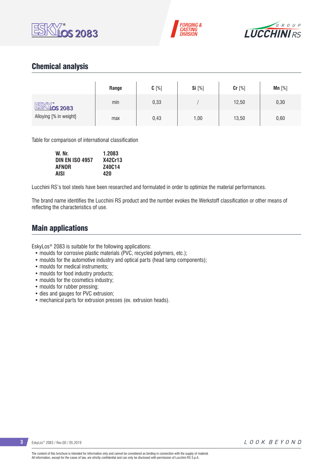





# Chemical analysis

|                        | Range | $C[\%]$ | Si [%] | Cr [%] | Mn $[%]$ |
|------------------------|-------|---------|--------|--------|----------|
| <b>ESKY os 2083</b>    | min   | 0,33    |        | 12,50  | 0,30     |
| Alloying [% in weight] | max   | 0,43    | 1,00   | 13,50  | 0,60     |

Table for comparison of international classification

| W. Nr.                 | 1.2083        |
|------------------------|---------------|
| <b>DIN EN ISO 4957</b> | X42Cr13       |
| <b>AFNOR</b>           | <b>Z40C14</b> |
| <b>AISI</b>            | 420           |

Lucchini RS's tool steels have been researched and formulated in order to optimize the material performances.

The brand name identifies the Lucchini RS product and the number evokes the Werkstoff classification or other means of reflecting the characteristics of use.

## Main applications

EskyLos® 2083 is suitable for the following applications:

- moulds for corrosive plastic materials (PVC, recycled polymers, etc.);
- moulds for the automotive industry and optical parts (head lamp components);
- moulds for medical instruments;
- moulds for food industry products;
- moulds for the cosmetics industry;
- moulds for rubber pressing;
- dies and gauges for PVC extrusion;
- mechanical parts for extrusion presses (ex. extrusion heads).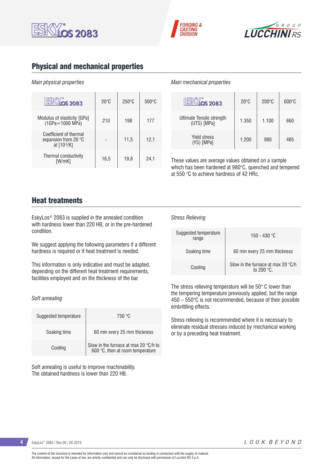





## Physical and mechanical properties

### *Main physical properties*

| <b>DS 2083</b>                                                         | $20^{\circ}$ C | $250^{\circ}$ C | $500\degree C$ |
|------------------------------------------------------------------------|----------------|-----------------|----------------|
| Modulus of elasticity [GPa]<br>$(1GPa = 1000 MPa)$                     | 210            | 198             | 177            |
| Coefficient of thermal<br>expansion from 20 $\degree$ C<br>at [10-6/K] |                | 11,5            | 12,1           |
| Thermal conductivity<br>[W/mK]                                         | 16.5           | 19.8            | 24.1           |

#### *Main mechanical properties*

*Stress Relieving*

| <b>OS 2083</b>                           | $20^{\circ}$ C | $200\degree$ C | $600\degree C$ |
|------------------------------------------|----------------|----------------|----------------|
| Ultimate Tensile strength<br>(UTS) [MPa] | 1.350          | 1.100          | 660            |
| <b>Yield stress</b><br>(YS) [MPa]        | 1.200          | 980            | 485            |

These values are average values obtained on a sample which has been hardened at 980°C, quenched and tempered at 550 °C to achieve hardness of 42 HRc.

## Heat treatments

EskyLos® 2083 is supplied in the annealed condition with hardness lower than 220 HB, or in the pre-hardened condition.

We suggest applying the following parameters if a different hardness is required or if heat treatment is needed.

This information is only indicative and must be adapted, depending on the different heat treatment requirements, facilities employed and on the thickness of the bar.

#### *Soft annealing*

| Suggested temperature | 750 °C                                                                    |  |  |  |  |
|-----------------------|---------------------------------------------------------------------------|--|--|--|--|
| Soaking time          | 60 min every 25 mm thickness                                              |  |  |  |  |
| Cooling               | Slow in the furnace at max 20 °C/h to<br>600 °C, then at room temperature |  |  |  |  |

Soft annealing is useful to improve machinability. The obtained hardness is lower than 220 HB.

| Suggested temperature<br>range | 150 - 430 °C                                                       |  |  |  |  |
|--------------------------------|--------------------------------------------------------------------|--|--|--|--|
| Soaking time                   | 60 min every 25 mm thickness                                       |  |  |  |  |
| Cooling                        | Slow in the furnace at max 20 $\degree$ C/h<br>to 200 $\degree$ C. |  |  |  |  |

The stress relieving temperature will be 50° C lower than the tempering temperature previously applied, but the range 450 – 550°C is not recommended, because of their possible embrittling effects.

Stress relieving is recommended where it is necessary to eliminate residual stresses induced by mechanical working or by a preceding heat treatment.

**4** EskyLos® 2083 / Rev.00 / 05.2019

LOOK BEYOND

The content of this brochure is intended for information only and cannot be considered as binding in connection with the supply of material. All information, except for the cases of law, are strictly confidential and can only be disclosed with permission of Lucchini RS S.p.A.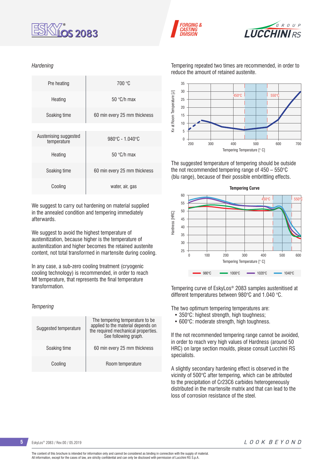





Tempering repeated two times are recommended, in order to reduce the amount of retained austenite.



The suggested temperature of tempering should be outside the not recommended tempering range of 450 – 550°C (blu range), because of their possible embrittling effects.



Tempering curve of EskyLos® 2083 samples austenitised at different temperatures between 980°C and 1.040 °C.

The two optimum tempering temperatures are:

- 350°C: highest strength, high toughness;
- 600°C: moderate strength, high toughness.

If the not recommended tempering range cannot be avoided, in order to reach very high values of Hardness (around 50 HRC) on large section moulds, please consult Lucchini RS specialists.

A slightly secondary hardening effect is observed in the vicinity of 500°C after tempering, which can be attributed to the precipitation of Cr23C6 carbides heterogeneously distributed in the martensite matrix and that can lead to the loss of corrosion resistance of the steel.

*Hardening*

| Pre heating                          | 700 °C                               |
|--------------------------------------|--------------------------------------|
| Heating                              | 50 $\degree$ C/h max                 |
| Soaking time                         | 60 min every 25 mm thickness         |
|                                      |                                      |
| Austenising suggested<br>temperature | $980^{\circ}$ C - 1.040 $^{\circ}$ C |
| Heating                              | 50 $\degree$ C/h max                 |
| Soaking time                         | 60 min every 25 mm thickness         |
| Cooling                              | water, air, gas                      |

We suggest to carry out hardening on material supplied in the annealed condition and tempering immediately afterwards.

We suggest to avoid the highest temperature of austenitization, because higher is the temperature of austenitization and higher becomes the retained austenite content, not total transformed in martensite during cooling.

In any case, a sub-zero cooling treatment (cryogenic cooling technology) is recommended, in order to reach Mf temperature, that represents the final temperature transformation.

#### *Tempering*

| Suggested temperature | The tempering temperature to be.<br>applied to the material depends on<br>the required mechanical properties.<br>See following graph. |  |  |  |  |
|-----------------------|---------------------------------------------------------------------------------------------------------------------------------------|--|--|--|--|
| Soaking time          | 60 min every 25 mm thickness                                                                                                          |  |  |  |  |
| Cooling               | Room temperature                                                                                                                      |  |  |  |  |

**5** EskyLos® 2083 / Rev.00 / 05.2019

LOOK BEYOND

The content of this brochure is intended for information only and cannot be considered as binding in connection with the supply of material. All information, except for the cases of law, are strictly confidential and can only be disclosed with permission of Lucchini RS S.p.A.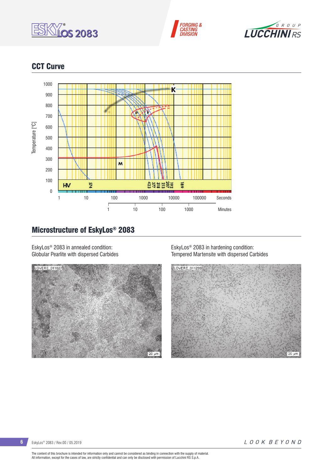





# CCT Curve



# Microstructure of EskyLos® 2083

EskyLos® 2083 in annealed condition: Globular Pearlite with dispersed Carbides



EskyLos® 2083 in hardening condition: Tempered Martensite with dispersed Carbides



The content of this brochure is intended for information only and cannot be considered as binding in connection with the supply of material.<br>All information, except for the cases of law, are strictly confidential and can o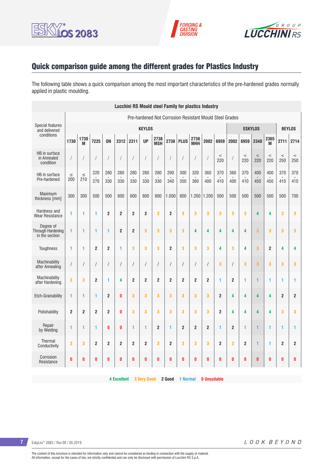





# Quick comparison guide among the different grades for Plastics Industry

The following table shows a quick comparison among the most important characteristics of the pre-hardened grades normally applied in plastic moulding.

| <b>Lucchini RS Mould steel Family for plastics Industry</b> |                |                |                |                |                  |                      |                      |                    |                |                |                    |                |                |                |                |                |                |                |                |
|-------------------------------------------------------------|----------------|----------------|----------------|----------------|------------------|----------------------|----------------------|--------------------|----------------|----------------|--------------------|----------------|----------------|----------------|----------------|----------------|----------------|----------------|----------------|
| Pre-hardened Not Corrosion Resistant Mould Steel Grades     |                |                |                |                |                  |                      |                      |                    |                |                |                    |                |                |                |                |                |                |                |                |
| <b>Special features</b><br>and delivered                    |                |                |                |                |                  |                      | <b>KEYLOS</b>        |                    |                |                |                    |                |                |                |                | <b>ESKYLOS</b> |                | <b>BEYLOS</b>  |                |
| conditions                                                  | 1730           | 1730<br>M      | 7225           | <b>ON</b>      | 2312             | 2311                 | <b>UP</b>            | 2738<br><b>MSH</b> | 2738           | <b>PLUS</b>    | 2738<br><b>MHH</b> | 2002           | 6959           | 2002           | 6959           | 2340           | 2365<br>M      | 2711           | 2714           |
| HB in surface<br>in Annealed<br>condition                   | T              | $\sqrt{ }$     |                |                |                  | $\sqrt{\phantom{a}}$ | $\sqrt{\phantom{a}}$ | 1                  | 1              |                | $\prime$           |                | $\,<$<br>220   |                | $\,<$<br>220   | $\,<$<br>220   | $\,<$<br>220   | $\,<$<br>250   | $\,<$<br>250   |
| HB in surface<br>Pre-hardened                               | $\leq$<br>200  | $\leq$<br>210  | 220<br>270     | 280<br>330     | 280<br>330       | 280<br>330           | 280<br>330           | 280<br>330         | 290<br>340     | 300<br>350     | 320<br>360         | 360<br>400     | 370<br>410     | 360<br>400     | 370<br>410     | 400<br>450     | 400<br>450     | 370<br>410     | 370<br>410     |
| Maximum<br>thickness [mm]                                   | 300            | 300            | 500            | 500            | 600              | 600                  | 800                  | 800                | 1.000          | 800            | $1.200$ 1.200      |                | 500            | 500            | 500            | 500            | 500            | 500            | 700            |
| Hardness and<br><b>Wear Resistance</b>                      | 1              | 1              | 1              | $\overline{2}$ | $\overline{2}$   | $\overline{2}$       | $\overline{2}$       | 3                  | $\overline{2}$ | 3              | 3                  | 3              | 3              | 3              | 3              | 4              | 4              | 3              | 3              |
| Dearee of<br>Through Hardening<br>in the section            | 1              | 1              | 1              | 1              | $\boldsymbol{2}$ | $\boldsymbol{2}$     | 3                    | 3                  | 3              | 3              | 4                  | 4              | 4              | 4              | 4              | 3              | 3              | 3              | 3              |
| Toughness                                                   | 1              | 1              | $\overline{2}$ | $\overline{2}$ | 1                | 3                    | 3                    | 3                  | $\overline{2}$ | 3              | 3                  | 3              | 4              | 3              | 4              | 3              | $\overline{2}$ | 4              | 4              |
| Machinability<br>after Annealing                            | $\sqrt{2}$     | $\sqrt{2}$     |                | $\sqrt{2}$     | $\sqrt{2}$       | $\sqrt{\phantom{a}}$ | $\sqrt{2}$           | $\sqrt{2}$         | $\sqrt{2}$     | $\overline{1}$ | $\sqrt{2}$         | $\prime$       | 3              | $\prime$       | 3              | 3              | 3              | 3              | 3              |
| Machinability<br>after Hardening                            | 3              | 3              | $\overline{2}$ | 1              | 4                | $\overline{2}$       | $\overline{2}$       | $\overline{2}$     | $\overline{2}$ | $\overline{2}$ | $\overline{2}$     | $\overline{2}$ | 1              | $\overline{2}$ | 1              | 1              | 1              | 1              | 1              |
| Etch-Grainability                                           | 1              | 1              | 1              | $\overline{2}$ | $\bf{0}$         | 3                    | 3                    | 3                  | 3              | 3              | 3                  | 3              | $\overline{2}$ | 4              | 4              | 4              | 4              | $\overline{2}$ | 2              |
| Polishability                                               | $\overline{2}$ | $\overline{2}$ | $\overline{2}$ | $\overline{2}$ | $\bf{0}$         | 3                    | 3                    | 3                  | 3              | 3              | 3                  | 3              | $\overline{2}$ | 4              | 4              | 4              | 4              | 3              | 3              |
| Repair<br>by Welding                                        | 1              | 1              | 1              | 0              | $\bf{0}$         | $\mathbf{1}$         | 1                    | $\overline{2}$     | $\mathbf{1}$   | $\overline{2}$ | $\overline{2}$     | $\overline{2}$ | 1              | $\overline{2}$ | 1              | 1              | 1              | 1              | 1              |
| Thermal<br>Conductivity                                     | 3              | 3              | $\overline{2}$ | $\overline{2}$ | $\overline{2}$   | $\overline{2}$       | $\overline{2}$       | 3                  | $\overline{2}$ | 3              | 3                  | 3              | $\overline{2}$ | 3              | $\overline{2}$ | 1              | 1              | $\overline{2}$ | $\overline{2}$ |
| Corrosion<br>Resistance                                     | $\bf{0}$       | 0              | 0              | 0              | $\bf{0}$         | $\bf{0}$             | $\bf{0}$             | 0                  | 0              | 0              | 0                  | 0              | 0              | 0              | $\bf{0}$       | $\bf{0}$       | 0              | O              | 0              |

**4 Excellent 3 Very Good 2 Good 1 Normal 0 Unsuitable**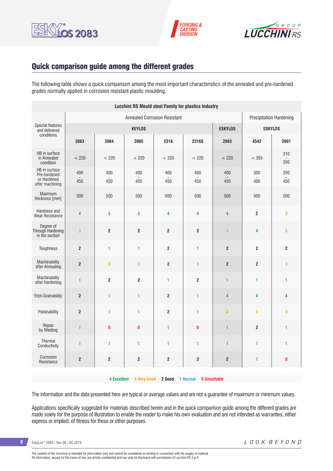





## Quick comparison guide among the different grades

The following table shows a quick comparison among the most important characteristics of the annealed and pre-hardened grades normally applied in corrosion resistant plastic moulding.

| <b>Lucchini RS Mould steel Family for plastics Industry</b>     |                         |                         |                                |                         |                         |                         |                  |                |
|-----------------------------------------------------------------|-------------------------|-------------------------|--------------------------------|-------------------------|-------------------------|-------------------------|------------------|----------------|
|                                                                 |                         |                         | <b>Precipitation Hardening</b> |                         |                         |                         |                  |                |
| <b>Special features</b><br>and delivered                        |                         |                         | <b>ESKYLOS</b>                 | <b>ESKYLOS</b>          |                         |                         |                  |                |
| conditions                                                      | 2083                    | 2084                    | 2085                           | 2316                    | 2316S                   | 2083                    | 4542             | 2001           |
| HB in surface<br>in Annealed<br>condition                       | < 220                   | < 220                   | < 220                          | < 220                   | < 220                   | < 220                   | < 355            | 310<br>350     |
| HB in surface<br>Pre-hardened<br>or Hardened<br>after machining | 400<br>450              | 400<br>450              | 400<br>450                     | 400<br>450              | 400<br>450              | 400<br>450              | 300<br>400       | 350<br>450     |
| Maximum<br>thickness [mm]                                       | 500                     | 500                     | 500                            | 500                     | 500                     | 500                     | 500              | 500            |
| Hardness and<br><b>Wear Resistance</b>                          | 4                       | 4                       | 4                              | 4                       | 4                       | 4                       | $\mathbf 2$      | 3              |
| Degree of<br>Through Hardening<br>in the section                | $\overline{\mathbf{3}}$ | $\overline{2}$          | $\overline{\mathbf{c}}$        | $\overline{2}$          | $\overline{\mathbf{2}}$ | $\overline{\mathbf{3}}$ | 4                | 3              |
| Toughness                                                       | $\overline{2}$          | 1                       | 1                              | $\overline{2}$          | 1                       | $\overline{2}$          | $\overline{2}$   | $\overline{2}$ |
| Machinability<br>after Annealing                                | $\boldsymbol{2}$        | $\overline{\mathbf{3}}$ | 3                              | $\mathbf 2$             | 3                       | $\boldsymbol{2}$        | $\boldsymbol{2}$ | 3              |
| Machinability<br>after Hardening                                | 1                       | $\overline{\mathbf{2}}$ | $\overline{2}$                 | 1                       | $\overline{2}$          | 1                       | 1                | 1              |
| Etch-Grainability                                               | $\boldsymbol{2}$        | $\mathbf{1}$            | 1                              | $\overline{\mathbf{2}}$ | 1                       | 4                       | 4                | 4              |
| Polishability                                                   | $\mathbf 2$             | 1                       | $\blacksquare$                 | $\overline{2}$          | 1                       | 3                       | 3                | 3              |
| Repair<br>by Welding                                            | 1                       | $\mathbf{0}$            | $\pmb{0}$                      | 1                       | O                       | 1                       | $\mathbf 2$      | 1              |
| Thermal<br>Conductivity                                         | $\mathbf{1}$            | 1                       | 1                              | 1                       | 1                       | 1                       | 1                | 1              |
| Corrosion<br>Resistance                                         | $\mathbf 2$             | $\boldsymbol{2}$        | $\overline{\mathbf{c}}$        | $\boldsymbol{2}$        | $\overline{\mathbf{2}}$ | $\mathbf{2}$            | 1                | $\bf{0}$       |
|                                                                 |                         |                         |                                |                         |                         |                         |                  |                |

**4 Excellent 3 Very Good 2 Good 1 Normal 0 Unsuitable**

The information and the data presented here are typical or average values and are not a guarantee of maximum or minimum values.

Applications specifically suggested for materials described herein and in the quick comparison guide among the different grades are made solely for the purpose of illustration to enable the reader to make his own evaluation and are not intended as warranties, either express or implied, of fitness for these or other purposes.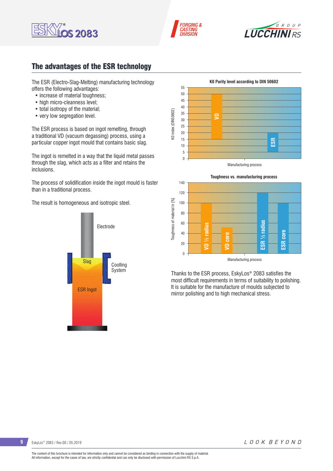





# The advantages of the ESR technology

The ESR (Electro-Slag-Melting) manufacturing technology offers the following advantages:

- increase of material toughness:
- high micro-cleanness level;
- total isotropy of the material;
- very low segregation level.

The ESR process is based on ingot remelting, through a traditional VD (vacuum degassing) process, using a particular copper ingot mould that contains basic slag.

The ingot is remelted in a way that the liquid metal passes through the slag, which acts as a filter and retains the inclusions.

The process of solidification inside the ingot mould is faster than in a traditional process.

The result is homogeneous and isotropic steel.







Thanks to the ESR process, EskyLos® 2083 satisfies the most difficult requirements in terms of suitability to polishing. It is suitable for the manufacture of moulds subjected to mirror polishing and to high mechanical stress.

**9** EskyLos® 2083 / Rev.00 / 05.2019

LOOK BEYOND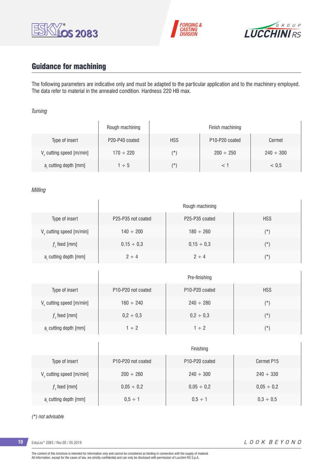





# Guidance for machining

 $\overline{1}$ 

The following parameters are indicative only and must be adapted to the particular application and to the machinery employed. The data refer to material in the annealed condition. Hardness 220 HB max.

### *Turning*

|                                      | Rough machining |            | Finish machining                        |                |
|--------------------------------------|-----------------|------------|-----------------------------------------|----------------|
| Type of insert                       | P20-P40 coated  | <b>HSS</b> | P <sub>10</sub> -P <sub>20</sub> coated | Cermet         |
| V <sub>c</sub> cutting speed [m/min] | $170 \div 220$  | $(\star)$  | $200 \div 250$                          | $240 \div 300$ |
| a, cutting depth [mm]                | $1 \div 5$      | (*)        |                                         | < 0.5          |

### *Milling*

|                                      | Rough machining                             |                                         |            |  |  |  |  |  |  |  |
|--------------------------------------|---------------------------------------------|-----------------------------------------|------------|--|--|--|--|--|--|--|
| Type of insert                       | P <sub>25</sub> -P <sub>35</sub> not coated | P <sub>25</sub> -P <sub>35</sub> coated | <b>HSS</b> |  |  |  |  |  |  |  |
| V <sub>c</sub> cutting speed [m/min] | $140 \div 200$                              | $180 \div 260$                          | $(\star)$  |  |  |  |  |  |  |  |
| $fz$ feed [mm]                       | $0,15 \div 0,3$                             | $0.15 \div 0.3$                         | $(\star)$  |  |  |  |  |  |  |  |
| a, cutting depth [mm]                | $2 \div 4$                                  | $2 \div 4$                              | $(\star)$  |  |  |  |  |  |  |  |

|                         | Pre-finishing                               |                                         |               |  |  |  |
|-------------------------|---------------------------------------------|-----------------------------------------|---------------|--|--|--|
| Type of insert          | P <sub>10</sub> -P <sub>20</sub> not coated | P <sub>10</sub> -P <sub>20</sub> coated | <b>HSS</b>    |  |  |  |
| V cutting speed [m/min] | $160 \div 240$                              | $240 \div 280$                          | $(\texttt{'}$ |  |  |  |
| $f$ , feed [mm]         | $0,2 \div 0,3$                              | $0,2 \div 0,3$                          | $(\star)$     |  |  |  |
| a, cutting depth [mm]   | $1 \div 2$                                  | $1 \div 2$                              | $(\star)$     |  |  |  |

|                                      | Finishing                                   |                                         |                 |  |  |  |
|--------------------------------------|---------------------------------------------|-----------------------------------------|-----------------|--|--|--|
| Type of insert                       | P <sub>10</sub> -P <sub>20</sub> not coated | P <sub>10</sub> -P <sub>20</sub> coated | Cermet P15      |  |  |  |
| V <sub>c</sub> cutting speed [m/min] | $200 \div 260$                              | $240 \div 300$                          | $240 \div 330$  |  |  |  |
| $f$ , feed [mm]                      | $0,05 \div 0,2$                             | $0,05 \div 0,2$                         | $0,05 \div 0,2$ |  |  |  |
| a, cutting depth [mm]                | $0.5 \div 1$                                | $0.5 \div 1$                            | $0.3 \div 0.5$  |  |  |  |

#### *(\*) not advisable*

**10** EskyLos® 2083 / Rev.00 / 05.2019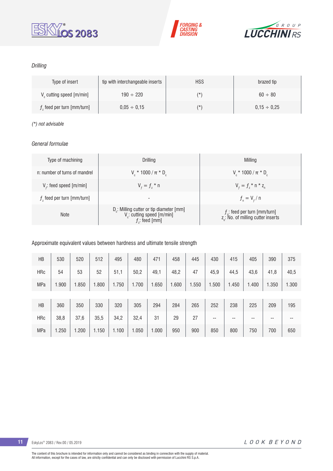





## *Drilling*

| Type of insert                       | tip with interchangeable inserts | <b>HSS</b> | brazed tip       |
|--------------------------------------|----------------------------------|------------|------------------|
| V <sub>c</sub> cutting speed [m/min] | $190 \div 220$                   | (*`        | $60 \div 80$     |
| $fz$ feed per turn [mm/turn]         | $0.05 \div 0.15$                 | (*`        | $0.15 \div 0.25$ |

### *(\*) not advisable*

## *General formulae*

| Type of machining             | Drilling                                                                                                 | Milling                                                                           |
|-------------------------------|----------------------------------------------------------------------------------------------------------|-----------------------------------------------------------------------------------|
| n: number of turns of mandrel | $V_r * 1000 / \pi * D_r$                                                                                 | $V_r * 1000 / \pi * D_c$                                                          |
| $V_f$ : feed speed [m/min]    | $V_{f} = f_{7}$ * n                                                                                      | $V_{f} = f_{i} * n * z_{n}$                                                       |
| $fz$ feed per turn [mm/turn]  | -                                                                                                        | $f_{n} = V_{f} / n$                                                               |
| <b>Note</b>                   | $D_c$ : Milling cutter or tip diameter [mm]<br>V <sub>c</sub> : cutting speed [m/min]<br>$f$ : feed [mm] | $f_n$ : feed per turn [mm/turn]<br>z <sub>a</sub> : No. of milling cutter inserts |

### Approximate equivalent values between hardness and ultimate tensile strength

| HB         | 530   | 520   | 512   | 495   | 480   | 471   | 458   | 445   | 430   | 415   | 405   | 390   | 375   |
|------------|-------|-------|-------|-------|-------|-------|-------|-------|-------|-------|-------|-------|-------|
| <b>HRc</b> | 54    | 53    | 52    | 51,1  | 50,2  | 49,1  | 48,2  | 47    | 45,9  | 44,5  | 43,6  | 41,8  | 40,5  |
| <b>MPa</b> | 1.900 | 1.850 | .800  | 1.750 | 1.700 | 1.650 | 1.600 | 1.550 | 1.500 | 1.450 | 1.400 | 1.350 | 1.300 |
|            |       |       |       |       |       |       |       |       |       |       |       |       |       |
| HB         | 360   | 350   | 330   | 320   | 305   | 294   | 284   | 265   | 252   | 238   | 225   | 209   | 195   |
| <b>HRc</b> | 38,8  | 37,6  | 35,5  | 34,2  | 32,4  | 31    | 29    | 27    | $- -$ | --    | --    | $- -$ | --    |
| <b>MPa</b> | 1.250 | 1.200 | 1.150 | 1.100 | 1.050 | 1.000 | 950   | 900   | 850   | 800   | 750   | 700   | 650   |